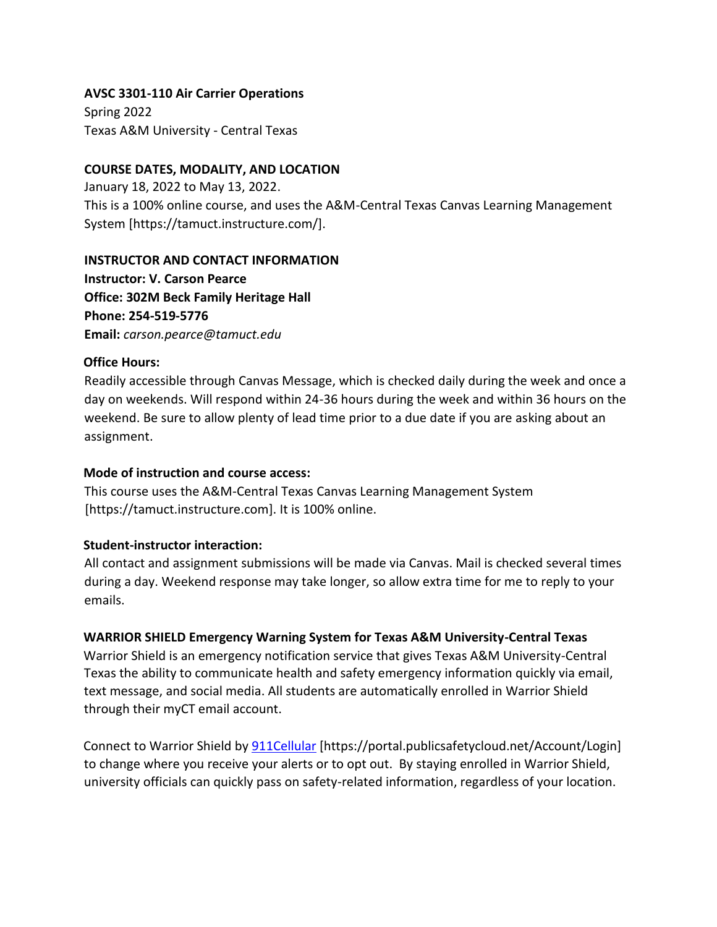### **AVSC 3301-110 Air Carrier Operations**

Spring 2022 Texas A&M University - Central Texas

### **COURSE DATES, MODALITY, AND LOCATION**

January 18, 2022 to May 13, 2022. This is a 100% online course, and uses the A&M-Central Texas Canvas Learning Management System [https://tamuct.instructure.com/].

## **INSTRUCTOR AND CONTACT INFORMATION**

**Instructor: V. Carson Pearce Office: 302M Beck Family Heritage Hall Phone: 254-519-5776 Email:** *carson.pearce@tamuct.edu*

#### **Office Hours:**

Readily accessible through Canvas Message, which is checked daily during the week and once a day on weekends. Will respond within 24-36 hours during the week and within 36 hours on the weekend. Be sure to allow plenty of lead time prior to a due date if you are asking about an assignment.

## **Mode of instruction and course access:**

This course uses the A&M-Central Texas Canvas Learning Management System [https://tamuct.instructure.com]. It is 100% online.

## **Student-instructor interaction:**

All contact and assignment submissions will be made via Canvas. Mail is checked several times during a day. Weekend response may take longer, so allow extra time for me to reply to your emails.

## **WARRIOR SHIELD Emergency Warning System for Texas A&M University-Central Texas**

Warrior Shield is an emergency notification service that gives Texas A&M University-Central Texas the ability to communicate health and safety emergency information quickly via email, text message, and social media. All students are automatically enrolled in Warrior Shield through their myCT email account.

Connect to Warrior Shield by **911Cellular** [https://portal.publicsafetycloud.net/Account/Login] to change where you receive your alerts or to opt out. By staying enrolled in Warrior Shield, university officials can quickly pass on safety-related information, regardless of your location.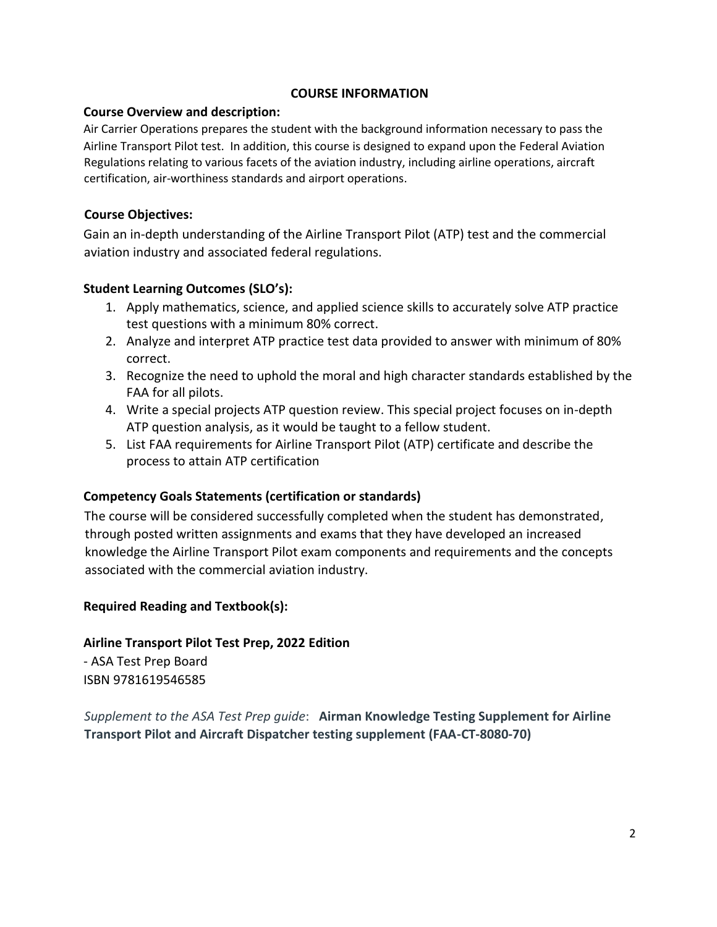## **COURSE INFORMATION**

### **Course Overview and description:**

Air Carrier Operations prepares the student with the background information necessary to pass the Airline Transport Pilot test. In addition, this course is designed to expand upon the Federal Aviation Regulations relating to various facets of the aviation industry, including airline operations, aircraft certification, air-worthiness standards and airport operations.

## **Course Objectives:**

Gain an in-depth understanding of the Airline Transport Pilot (ATP) test and the commercial aviation industry and associated federal regulations.

## **Student Learning Outcomes (SLO's):**

- 1. Apply mathematics, science, and applied science skills to accurately solve ATP practice test questions with a minimum 80% correct.
- 2. Analyze and interpret ATP practice test data provided to answer with minimum of 80% correct.
- 3. Recognize the need to uphold the moral and high character standards established by the FAA for all pilots.
- 4. Write a special projects ATP question review. This special project focuses on in-depth ATP question analysis, as it would be taught to a fellow student.
- 5. List FAA requirements for Airline Transport Pilot (ATP) certificate and describe the process to attain ATP certification

## **Competency Goals Statements (certification or standards)**

The course will be considered successfully completed when the student has demonstrated, through posted written assignments and exams that they have developed an increased knowledge the Airline Transport Pilot exam components and requirements and the concepts associated with the commercial aviation industry.

## **Required Reading and Textbook(s):**

**Airline Transport Pilot Test Prep, 2022 Edition**  - ASA Test Prep Board ISBN 9781619546585

*Supplement to the ASA Test Prep guide*: **Airman Knowledge Testing Supplement for Airline Transport Pilot and Aircraft Dispatcher testing supplement (FAA-CT-8080-70)**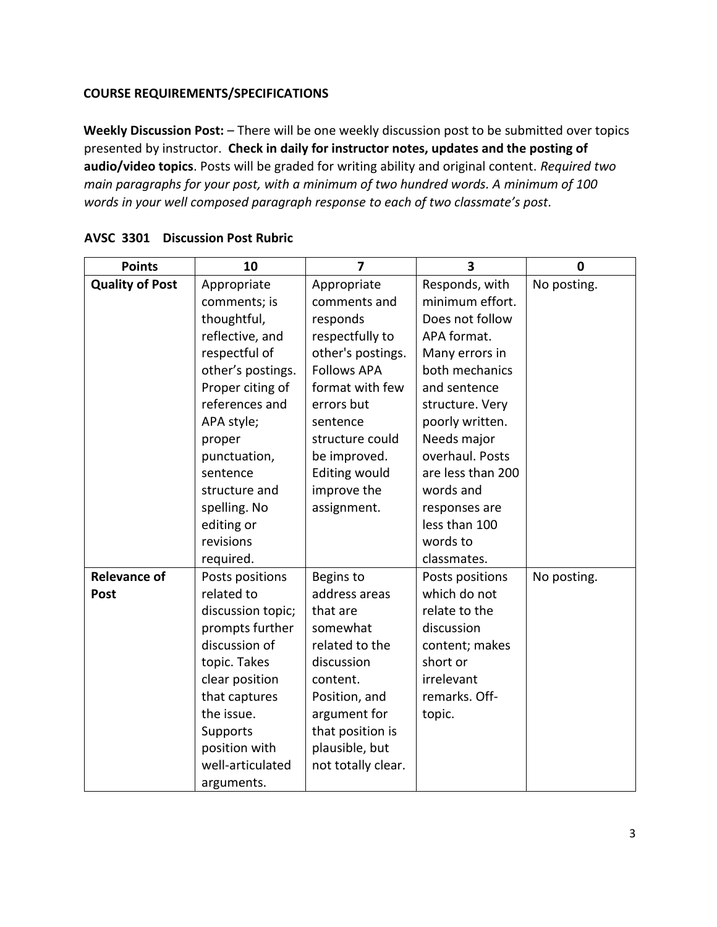# **COURSE REQUIREMENTS/SPECIFICATIONS**

**Weekly Discussion Post:** – There will be one weekly discussion post to be submitted over topics presented by instructor. **Check in daily for instructor notes, updates and the posting of audio/video topics**. Posts will be graded for writing ability and original content. *Required two main paragraphs for your post, with a minimum of two hundred words. A minimum of 100 words in your well composed paragraph response to each of two classmate's post.* 

| <b>Points</b>          | 10                | $\overline{7}$       | 3                 | $\mathbf 0$ |
|------------------------|-------------------|----------------------|-------------------|-------------|
| <b>Quality of Post</b> | Appropriate       | Appropriate          | Responds, with    | No posting. |
|                        | comments; is      | comments and         | minimum effort.   |             |
|                        | thoughtful,       | responds             | Does not follow   |             |
|                        | reflective, and   | respectfully to      | APA format.       |             |
|                        | respectful of     | other's postings.    | Many errors in    |             |
|                        | other's postings. | <b>Follows APA</b>   | both mechanics    |             |
|                        | Proper citing of  | format with few      | and sentence      |             |
|                        | references and    | errors but           | structure. Very   |             |
|                        | APA style;        | sentence             | poorly written.   |             |
|                        | proper            | structure could      | Needs major       |             |
|                        | punctuation,      | be improved.         | overhaul. Posts   |             |
|                        | sentence          | <b>Editing would</b> | are less than 200 |             |
|                        | structure and     | improve the          | words and         |             |
|                        | spelling. No      | assignment.          | responses are     |             |
|                        | editing or        |                      | less than 100     |             |
|                        | revisions         |                      | words to          |             |
|                        | required.         |                      | classmates.       |             |
| <b>Relevance of</b>    | Posts positions   | Begins to            | Posts positions   | No posting. |
| <b>Post</b>            | related to        | address areas        | which do not      |             |
|                        | discussion topic; | that are             | relate to the     |             |
|                        | prompts further   | somewhat             | discussion        |             |
|                        | discussion of     | related to the       | content; makes    |             |
|                        | topic. Takes      | discussion           | short or          |             |
|                        | clear position    | content.             | irrelevant        |             |
|                        | that captures     | Position, and        | remarks. Off-     |             |
|                        | the issue.        | argument for         | topic.            |             |
|                        | Supports          | that position is     |                   |             |
|                        | position with     | plausible, but       |                   |             |
|                        | well-articulated  | not totally clear.   |                   |             |
|                        | arguments.        |                      |                   |             |

## **AVSC 3301 Discussion Post Rubric**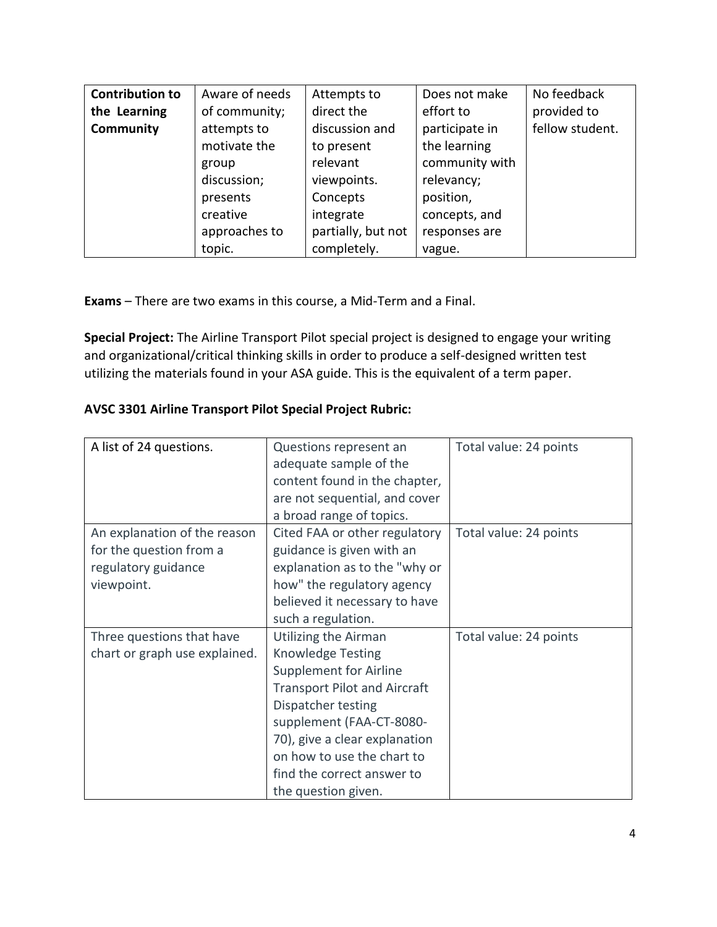| <b>Contribution to</b> | Aware of needs | Attempts to        | Does not make  | No feedback     |
|------------------------|----------------|--------------------|----------------|-----------------|
| the Learning           | of community;  | direct the         | effort to      | provided to     |
| <b>Community</b>       | attempts to    | discussion and     | participate in | fellow student. |
|                        | motivate the   | to present         | the learning   |                 |
|                        | group          | relevant           | community with |                 |
|                        | discussion;    | viewpoints.        | relevancy;     |                 |
|                        | presents       | Concepts           | position,      |                 |
|                        | creative       | integrate          | concepts, and  |                 |
|                        | approaches to  | partially, but not | responses are  |                 |
|                        | topic.         | completely.        | vague.         |                 |

**Exams** – There are two exams in this course, a Mid-Term and a Final.

**Special Project:** The Airline Transport Pilot special project is designed to engage your writing and organizational/critical thinking skills in order to produce a self-designed written test utilizing the materials found in your ASA guide. This is the equivalent of a term paper.

## **AVSC 3301 Airline Transport Pilot Special Project Rubric:**

| A list of 24 questions.       | Questions represent an              | Total value: 24 points |
|-------------------------------|-------------------------------------|------------------------|
|                               | adequate sample of the              |                        |
|                               | content found in the chapter,       |                        |
|                               | are not sequential, and cover       |                        |
|                               | a broad range of topics.            |                        |
| An explanation of the reason  | Cited FAA or other regulatory       | Total value: 24 points |
| for the question from a       | guidance is given with an           |                        |
| regulatory guidance           | explanation as to the "why or       |                        |
| viewpoint.                    | how" the regulatory agency          |                        |
|                               | believed it necessary to have       |                        |
|                               | such a regulation.                  |                        |
| Three questions that have     | Utilizing the Airman                | Total value: 24 points |
| chart or graph use explained. | <b>Knowledge Testing</b>            |                        |
|                               | <b>Supplement for Airline</b>       |                        |
|                               | <b>Transport Pilot and Aircraft</b> |                        |
|                               | Dispatcher testing                  |                        |
|                               | supplement (FAA-CT-8080-            |                        |
|                               | 70), give a clear explanation       |                        |
|                               | on how to use the chart to          |                        |
|                               | find the correct answer to          |                        |
|                               | the question given.                 |                        |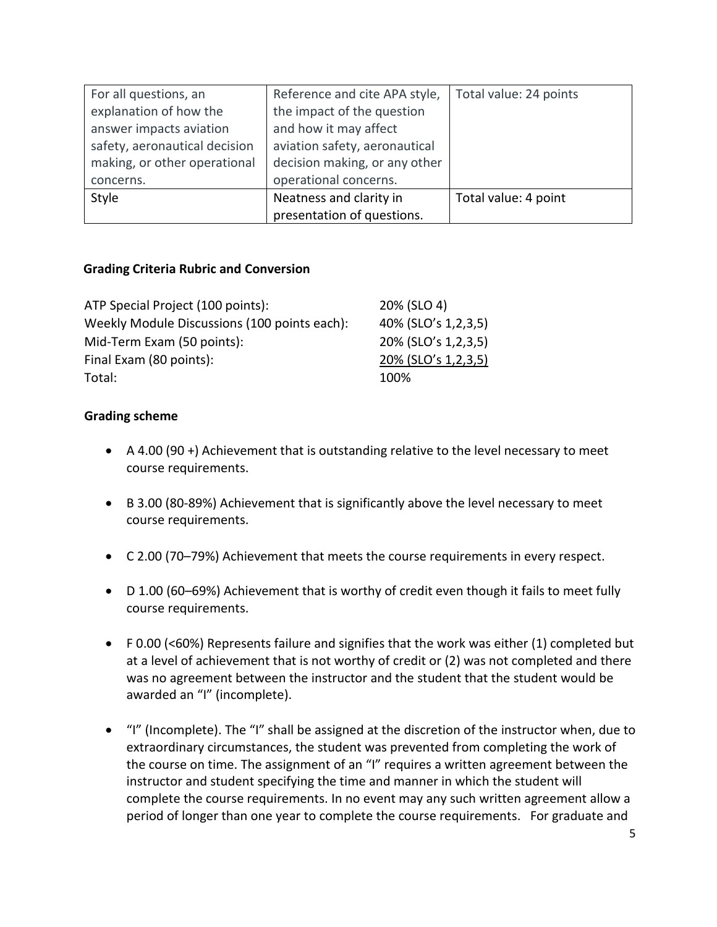| For all questions, an         | Reference and cite APA style, | Total value: 24 points |
|-------------------------------|-------------------------------|------------------------|
| explanation of how the        | the impact of the question    |                        |
| answer impacts aviation       | and how it may affect         |                        |
| safety, aeronautical decision | aviation safety, aeronautical |                        |
| making, or other operational  | decision making, or any other |                        |
| concerns.                     | operational concerns.         |                        |
| Style                         | Neatness and clarity in       | Total value: 4 point   |
|                               | presentation of questions.    |                        |

# **Grading Criteria Rubric and Conversion**

| ATP Special Project (100 points):            | 20% (SLO 4)         |
|----------------------------------------------|---------------------|
| Weekly Module Discussions (100 points each): | 40% (SLO's 1,2,3,5) |
| Mid-Term Exam (50 points):                   | 20% (SLO's 1,2,3,5) |
| Final Exam (80 points):                      | 20% (SLO's 1,2,3,5) |
| Total:                                       | 100%                |

## **Grading scheme**

- A 4.00 (90 +) Achievement that is outstanding relative to the level necessary to meet course requirements.
- B 3.00 (80-89%) Achievement that is significantly above the level necessary to meet course requirements.
- C 2.00 (70–79%) Achievement that meets the course requirements in every respect.
- D 1.00 (60–69%) Achievement that is worthy of credit even though it fails to meet fully course requirements.
- F 0.00 (<60%) Represents failure and signifies that the work was either (1) completed but at a level of achievement that is not worthy of credit or (2) was not completed and there was no agreement between the instructor and the student that the student would be awarded an "I" (incomplete).
- "I" (Incomplete). The "I" shall be assigned at the discretion of the instructor when, due to extraordinary circumstances, the student was prevented from completing the work of the course on time. The assignment of an "I" requires a written agreement between the instructor and student specifying the time and manner in which the student will complete the course requirements. In no event may any such written agreement allow a period of longer than one year to complete the course requirements. For graduate and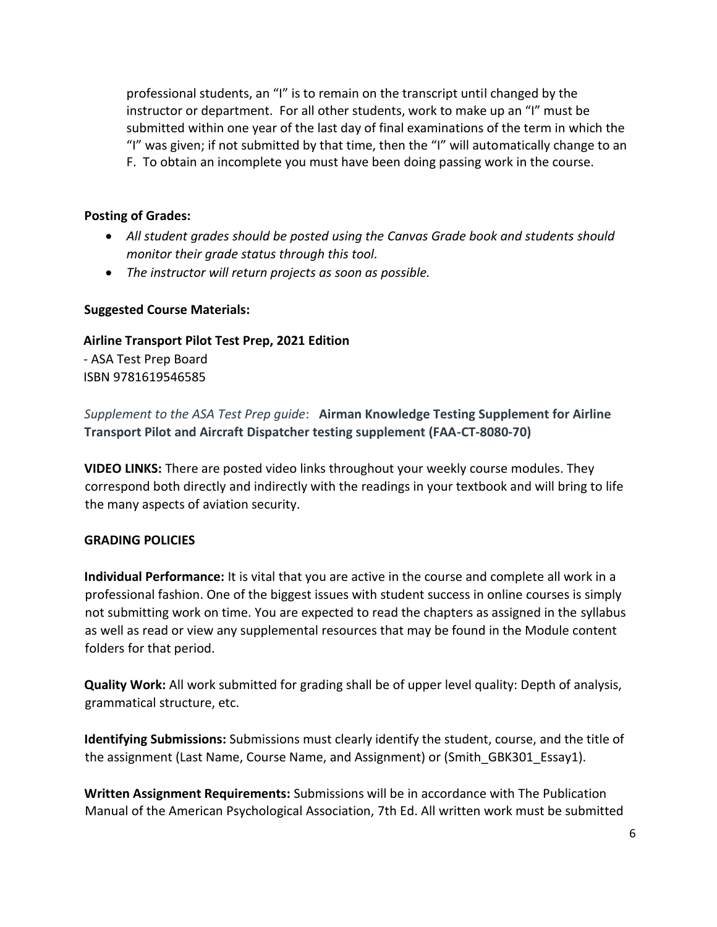professional students, an "I" is to remain on the transcript until changed by the instructor or department. For all other students, work to make up an "I" must be submitted within one year of the last day of final examinations of the term in which the "I" was given; if not submitted by that time, then the "I" will automatically change to an F. To obtain an incomplete you must have been doing passing work in the course.

## **Posting of Grades:**

- *All student grades should be posted using the Canvas Grade book and students should monitor their grade status through this tool.*
- *The instructor will return projects as soon as possible.*

## **Suggested Course Materials:**

**Airline Transport Pilot Test Prep, 2021 Edition**  - ASA Test Prep Board

ISBN 9781619546585

*Supplement to the ASA Test Prep guide*: **Airman Knowledge Testing Supplement for Airline Transport Pilot and Aircraft Dispatcher testing supplement (FAA-CT-8080-70)**

**VIDEO LINKS:** There are posted video links throughout your weekly course modules. They correspond both directly and indirectly with the readings in your textbook and will bring to life the many aspects of aviation security.

# **GRADING POLICIES**

**Individual Performance:** It is vital that you are active in the course and complete all work in a professional fashion. One of the biggest issues with student success in online courses is simply not submitting work on time. You are expected to read the chapters as assigned in the syllabus as well as read or view any supplemental resources that may be found in the Module content folders for that period.

**Quality Work:** All work submitted for grading shall be of upper level quality: Depth of analysis, grammatical structure, etc.

**Identifying Submissions:** Submissions must clearly identify the student, course, and the title of the assignment (Last Name, Course Name, and Assignment) or (Smith GBK301 Essay1).

**Written Assignment Requirements:** Submissions will be in accordance with The Publication Manual of the American Psychological Association, 7th Ed. All written work must be submitted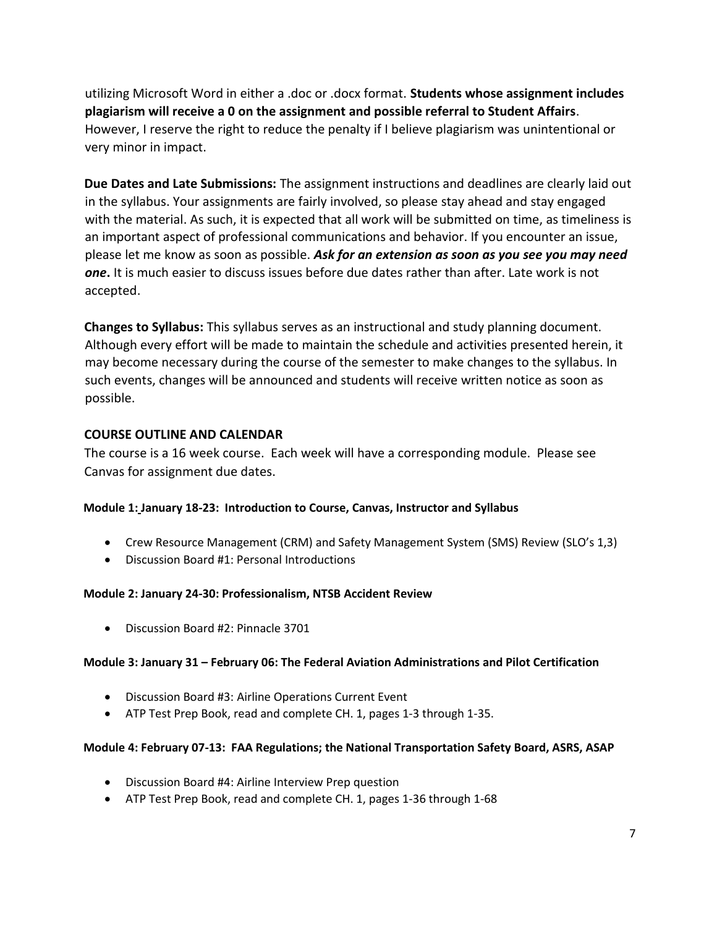utilizing Microsoft Word in either a .doc or .docx format. **Students whose assignment includes plagiarism will receive a 0 on the assignment and possible referral to Student Affairs**. However, I reserve the right to reduce the penalty if I believe plagiarism was unintentional or very minor in impact.

**Due Dates and Late Submissions:** The assignment instructions and deadlines are clearly laid out in the syllabus. Your assignments are fairly involved, so please stay ahead and stay engaged with the material. As such, it is expected that all work will be submitted on time, as timeliness is an important aspect of professional communications and behavior. If you encounter an issue, please let me know as soon as possible. *Ask for an extension as soon as you see you may need one***.** It is much easier to discuss issues before due dates rather than after. Late work is not accepted.

**Changes to Syllabus:** This syllabus serves as an instructional and study planning document. Although every effort will be made to maintain the schedule and activities presented herein, it may become necessary during the course of the semester to make changes to the syllabus. In such events, changes will be announced and students will receive written notice as soon as possible.

## **COURSE OUTLINE AND CALENDAR**

The course is a 16 week course. Each week will have a corresponding module. Please see Canvas for assignment due dates.

## **Module 1: January 18-23: Introduction to Course, Canvas, Instructor and Syllabus**

- Crew Resource Management (CRM) and Safety Management System (SMS) Review (SLO's 1,3)
- Discussion Board #1: Personal Introductions

## **Module 2: January 24-30: Professionalism, NTSB Accident Review**

Discussion Board #2: Pinnacle 3701

## **Module 3: January 31 – February 06: The Federal Aviation Administrations and Pilot Certification**

- Discussion Board #3: Airline Operations Current Event
- ATP Test Prep Book, read and complete CH. 1, pages 1-3 through 1-35.

## **Module 4: February 07-13: FAA Regulations; the National Transportation Safety Board, ASRS, ASAP**

- Discussion Board #4: Airline Interview Prep question
- ATP Test Prep Book, read and complete CH. 1, pages 1-36 through 1-68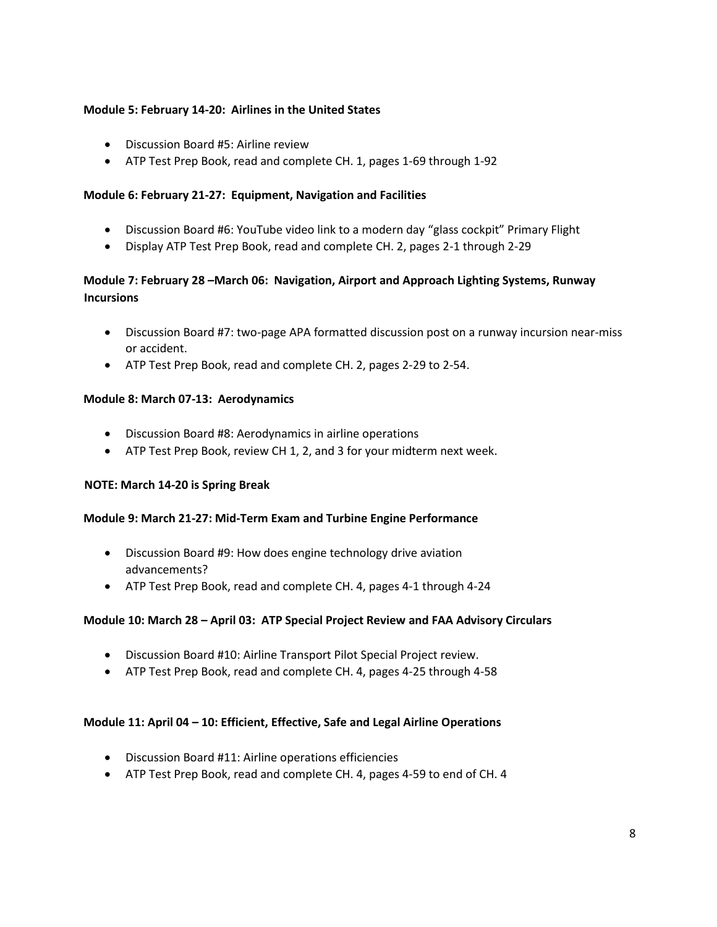#### **Module 5: February 14-20: Airlines in the United States**

- Discussion Board #5: Airline review
- ATP Test Prep Book, read and complete CH. 1, pages 1-69 through 1-92

#### **Module 6: February 21-27: Equipment, Navigation and Facilities**

- Discussion Board #6: YouTube video link to a modern day "glass cockpit" Primary Flight
- Display ATP Test Prep Book, read and complete CH. 2, pages 2-1 through 2-29

## **Module 7: February 28 –March 06: Navigation, Airport and Approach Lighting Systems, Runway Incursions**

- Discussion Board #7: two-page APA formatted discussion post on a runway incursion near-miss or accident.
- ATP Test Prep Book, read and complete CH. 2, pages 2-29 to 2-54.

#### **Module 8: March 07-13: Aerodynamics**

- Discussion Board #8: Aerodynamics in airline operations
- ATP Test Prep Book, review CH 1, 2, and 3 for your midterm next week.

#### **NOTE: March 14-20 is Spring Break**

#### **Module 9: March 21-27: Mid-Term Exam and Turbine Engine Performance**

- Discussion Board #9: How does engine technology drive aviation advancements?
- ATP Test Prep Book, read and complete CH. 4, pages 4-1 through 4-24

#### **Module 10: March 28 – April 03: ATP Special Project Review and FAA Advisory Circulars**

- Discussion Board #10: Airline Transport Pilot Special Project review.
- ATP Test Prep Book, read and complete CH. 4, pages 4-25 through 4-58

#### **Module 11: April 04 – 10: Efficient, Effective, Safe and Legal Airline Operations**

- Discussion Board #11: Airline operations efficiencies
- ATP Test Prep Book, read and complete CH. 4, pages 4-59 to end of CH. 4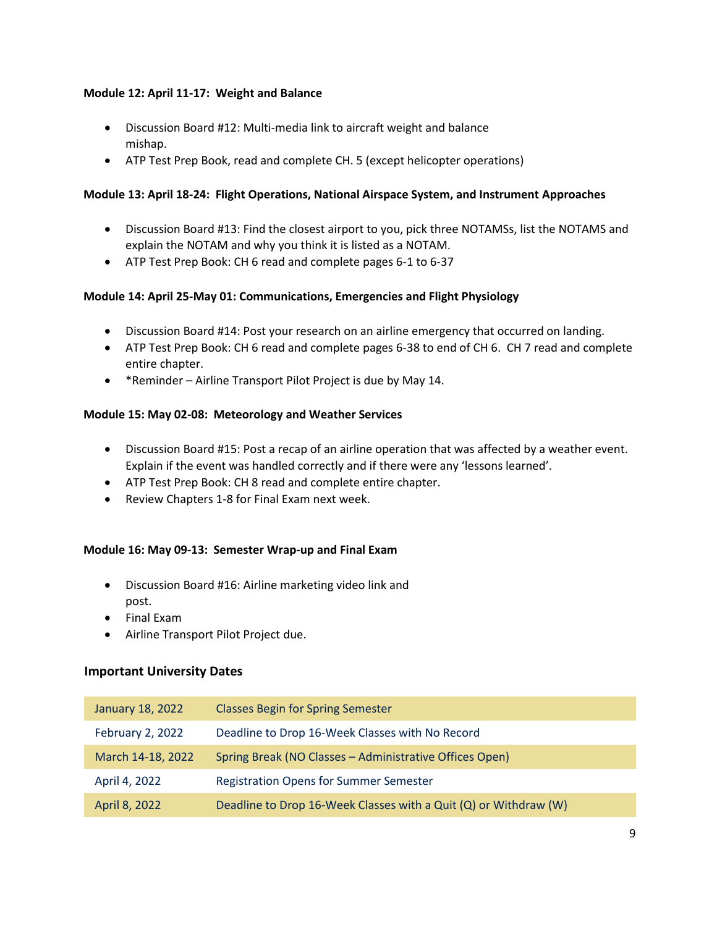#### **Module 12: April 11-17: Weight and Balance**

- Discussion Board #12: Multi-media link to aircraft weight and balance mishap.
- ATP Test Prep Book, read and complete CH. 5 (except helicopter operations)

#### **Module 13: April 18-24: Flight Operations, National Airspace System, and Instrument Approaches**

- Discussion Board #13: Find the closest airport to you, pick three NOTAMSs, list the NOTAMS and explain the NOTAM and why you think it is listed as a NOTAM.
- ATP Test Prep Book: CH 6 read and complete pages 6-1 to 6-37

## **Module 14: April 25-May 01: Communications, Emergencies and Flight Physiology**

- Discussion Board #14: Post your research on an airline emergency that occurred on landing.
- ATP Test Prep Book: CH 6 read and complete pages 6-38 to end of CH 6. CH 7 read and complete entire chapter.
- \*Reminder Airline Transport Pilot Project is due by May 14.

#### **Module 15: May 02-08: Meteorology and Weather Services**

- Discussion Board #15: Post a recap of an airline operation that was affected by a weather event. Explain if the event was handled correctly and if there were any 'lessons learned'.
- ATP Test Prep Book: CH 8 read and complete entire chapter.
- Review Chapters 1-8 for Final Exam next week.

#### **Module 16: May 09-13: Semester Wrap-up and Final Exam**

- Discussion Board #16: Airline marketing video link and post.
- Final Exam
- Airline Transport Pilot Project due.

#### **Important University Dates**

| January 18, 2022  | <b>Classes Begin for Spring Semester</b>                         |
|-------------------|------------------------------------------------------------------|
| February 2, 2022  | Deadline to Drop 16-Week Classes with No Record                  |
| March 14-18, 2022 | Spring Break (NO Classes - Administrative Offices Open)          |
| April 4, 2022     | <b>Registration Opens for Summer Semester</b>                    |
| April 8, 2022     | Deadline to Drop 16-Week Classes with a Quit (Q) or Withdraw (W) |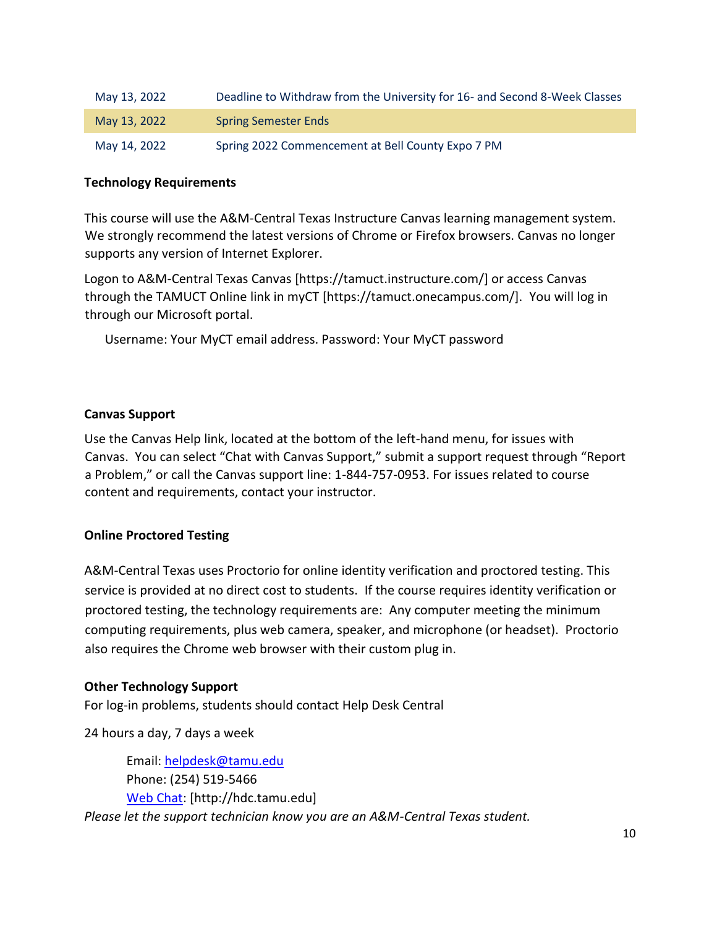| May 13, 2022 | Deadline to Withdraw from the University for 16- and Second 8-Week Classes |
|--------------|----------------------------------------------------------------------------|
| May 13, 2022 | <b>Spring Semester Ends</b>                                                |
| May 14, 2022 | Spring 2022 Commencement at Bell County Expo 7 PM                          |

## **Technology Requirements**

This course will use the A&M-Central Texas Instructure Canvas learning management system. We strongly recommend the latest versions of Chrome or Firefox browsers. Canvas no longer supports any version of Internet Explorer.

Logon to A&M-Central Texas Canvas [https://tamuct.instructure.com/] or access Canvas through the TAMUCT Online link in myCT [https://tamuct.onecampus.com/]. You will log in through our Microsoft portal.

Username: Your MyCT email address. Password: Your MyCT password

## **Canvas Support**

Use the Canvas Help link, located at the bottom of the left-hand menu, for issues with Canvas. You can select "Chat with Canvas Support," submit a support request through "Report a Problem," or call the Canvas support line: 1-844-757-0953. For issues related to course content and requirements, contact your instructor.

## **Online Proctored Testing**

A&M-Central Texas uses Proctorio for online identity verification and proctored testing. This service is provided at no direct cost to students. If the course requires identity verification or proctored testing, the technology requirements are: Any computer meeting the minimum computing requirements, plus web camera, speaker, and microphone (or headset). Proctorio also requires the Chrome web browser with their custom plug in.

## **Other Technology Support**

For log-in problems, students should contact Help Desk Central

24 hours a day, 7 days a week

Email: [helpdesk@tamu.edu](mailto:helpdesk@tamu.edu) Phone: (254) 519-5466 [Web Chat:](http://hdc.tamu.edu/) [http://hdc.tamu.edu] *Please let the support technician know you are an A&M-Central Texas student.*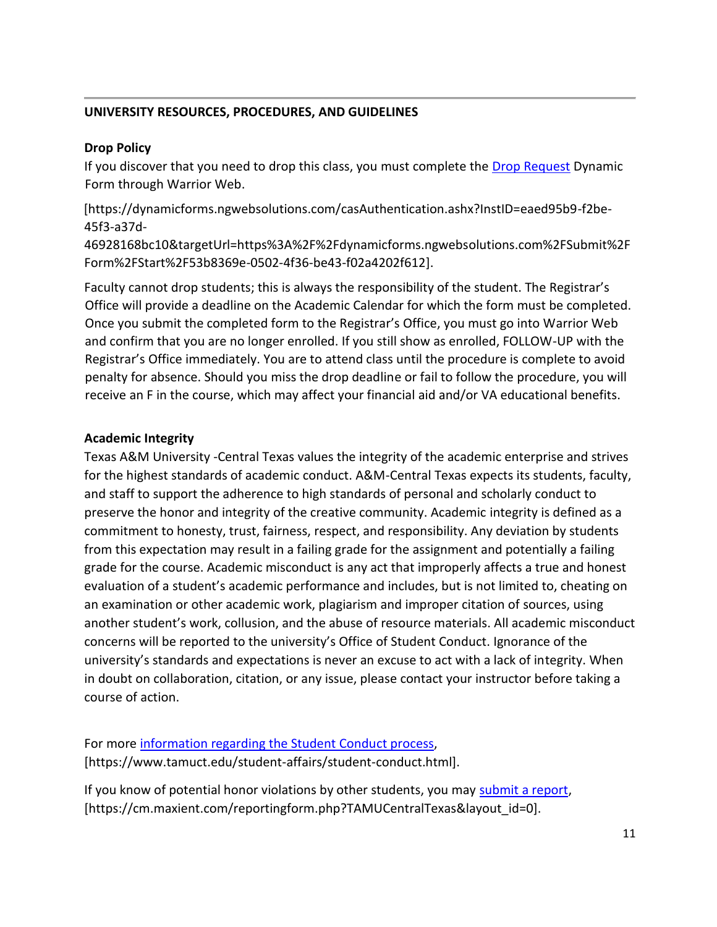## **UNIVERSITY RESOURCES, PROCEDURES, AND GUIDELINES**

## **Drop Policy**

If you discover that you need to drop this class, you must complete the **Drop Request** Dynamic Form through Warrior Web.

[https://dynamicforms.ngwebsolutions.com/casAuthentication.ashx?InstID=eaed95b9-f2be-45f3-a37d-

46928168bc10&targetUrl=https%3A%2F%2Fdynamicforms.ngwebsolutions.com%2FSubmit%2F Form%2FStart%2F53b8369e-0502-4f36-be43-f02a4202f612].

Faculty cannot drop students; this is always the responsibility of the student. The Registrar's Office will provide a deadline on the Academic Calendar for which the form must be completed. Once you submit the completed form to the Registrar's Office, you must go into Warrior Web and confirm that you are no longer enrolled. If you still show as enrolled, FOLLOW-UP with the Registrar's Office immediately. You are to attend class until the procedure is complete to avoid penalty for absence. Should you miss the drop deadline or fail to follow the procedure, you will receive an F in the course, which may affect your financial aid and/or VA educational benefits.

## **Academic Integrity**

Texas A&M University -Central Texas values the integrity of the academic enterprise and strives for the highest standards of academic conduct. A&M-Central Texas expects its students, faculty, and staff to support the adherence to high standards of personal and scholarly conduct to preserve the honor and integrity of the creative community. Academic integrity is defined as a commitment to honesty, trust, fairness, respect, and responsibility. Any deviation by students from this expectation may result in a failing grade for the assignment and potentially a failing grade for the course. Academic misconduct is any act that improperly affects a true and honest evaluation of a student's academic performance and includes, but is not limited to, cheating on an examination or other academic work, plagiarism and improper citation of sources, using another student's work, collusion, and the abuse of resource materials. All academic misconduct concerns will be reported to the university's Office of Student Conduct. Ignorance of the university's standards and expectations is never an excuse to act with a lack of integrity. When in doubt on collaboration, citation, or any issue, please contact your instructor before taking a course of action.

For more [information regarding the Student Conduct process,](https://www.tamuct.edu/student-affairs/student-conduct.html) [https://www.tamuct.edu/student-affairs/student-conduct.html].

If you know of potential honor violations by other students, you may [submit a report,](https://cm.maxient.com/reportingform.php?TAMUCentralTexas&layout_id=0) [https://cm.maxient.com/reportingform.php?TAMUCentralTexas&layout\_id=0].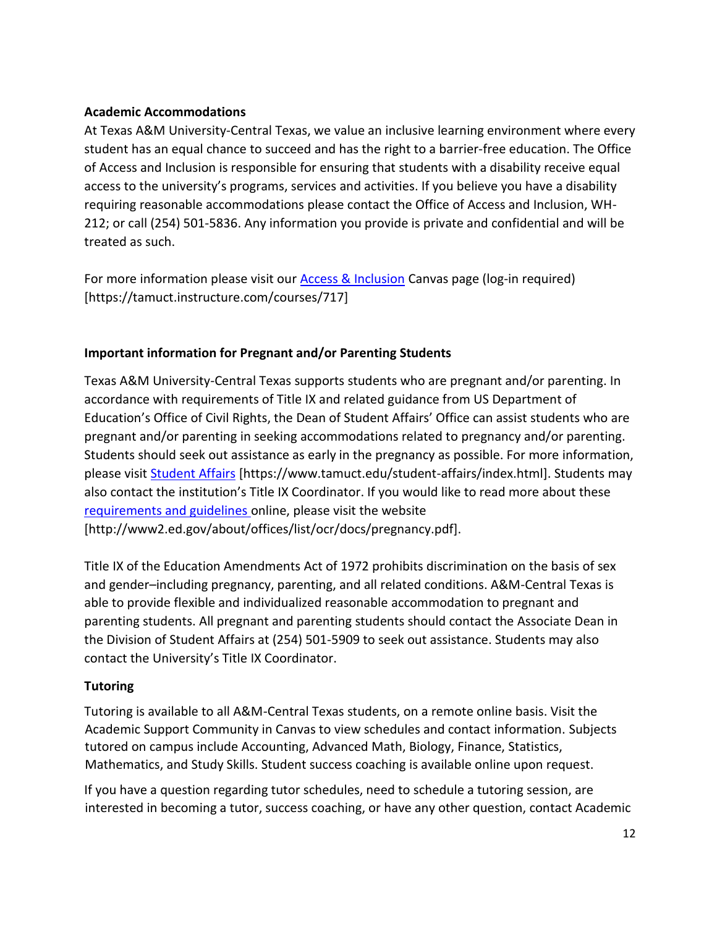## **Academic Accommodations**

At Texas A&M University-Central Texas, we value an inclusive learning environment where every student has an equal chance to succeed and has the right to a barrier-free education. The Office of Access and Inclusion is responsible for ensuring that students with a disability receive equal access to the university's programs, services and activities. If you believe you have a disability requiring reasonable accommodations please contact the Office of Access and Inclusion, WH-212; or call (254) 501-5836. Any information you provide is private and confidential and will be treated as such.

For more information please visit our [Access & Inclusion](https://tamuct.instructure.com/courses/717) Canvas page (log-in required) [https://tamuct.instructure.com/courses/717]

# **Important information for Pregnant and/or Parenting Students**

Texas A&M University-Central Texas supports students who are pregnant and/or parenting. In accordance with requirements of Title IX and related guidance from US Department of Education's Office of Civil Rights, the Dean of Student Affairs' Office can assist students who are pregnant and/or parenting in seeking accommodations related to pregnancy and/or parenting. Students should seek out assistance as early in the pregnancy as possible. For more information, please visit [Student Affairs](https://www.tamuct.edu/student-affairs/index.html) [https://www.tamuct.edu/student-affairs/index.html]. Students may also contact the institution's Title IX Coordinator. If you would like to read more about these [requirements and guidelines](http://www2.ed.gov/about/offices/list/ocr/docs/pregnancy.pdf) online, please visit the website [http://www2.ed.gov/about/offices/list/ocr/docs/pregnancy.pdf].

Title IX of the Education Amendments Act of 1972 prohibits discrimination on the basis of sex and gender–including pregnancy, parenting, and all related conditions. A&M-Central Texas is able to provide flexible and individualized reasonable accommodation to pregnant and parenting students. All pregnant and parenting students should contact the Associate Dean in the Division of Student Affairs at (254) 501-5909 to seek out assistance. Students may also contact the University's Title IX Coordinator.

# **Tutoring**

Tutoring is available to all A&M-Central Texas students, on a remote online basis. Visit the Academic Support Community in Canvas to view schedules and contact information. Subjects tutored on campus include Accounting, Advanced Math, Biology, Finance, Statistics, Mathematics, and Study Skills. Student success coaching is available online upon request.

If you have a question regarding tutor schedules, need to schedule a tutoring session, are interested in becoming a tutor, success coaching, or have any other question, contact Academic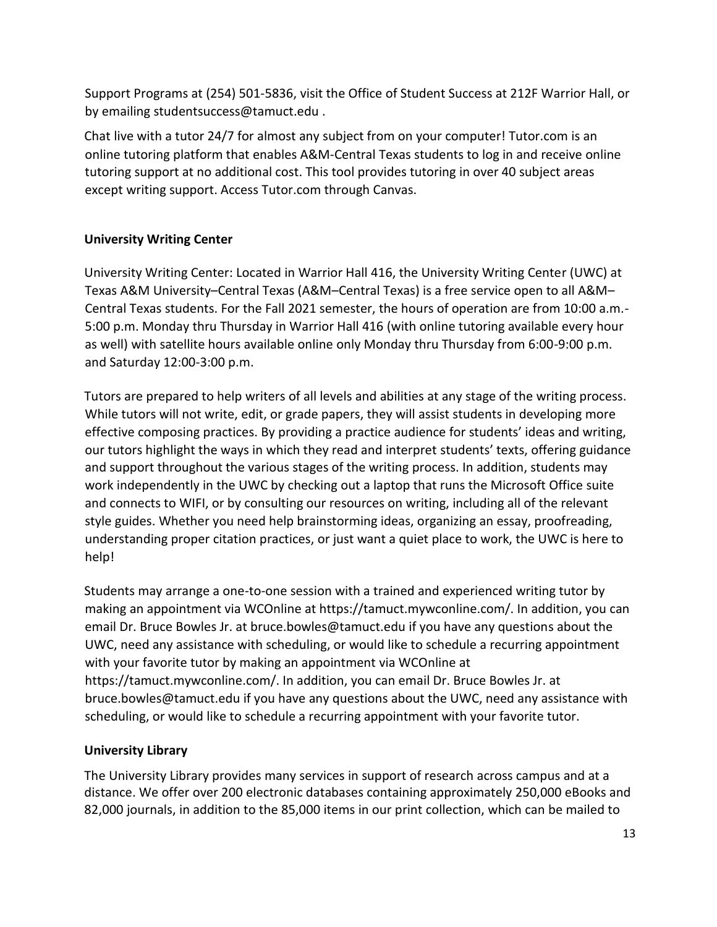Support Programs at (254) 501-5836, visit the Office of Student Success at 212F Warrior Hall, or by emailing studentsuccess@tamuct.edu .

Chat live with a tutor 24/7 for almost any subject from on your computer! Tutor.com is an online tutoring platform that enables A&M-Central Texas students to log in and receive online tutoring support at no additional cost. This tool provides tutoring in over 40 subject areas except writing support. Access Tutor.com through Canvas.

# **University Writing Center**

University Writing Center: Located in Warrior Hall 416, the University Writing Center (UWC) at Texas A&M University–Central Texas (A&M–Central Texas) is a free service open to all A&M– Central Texas students. For the Fall 2021 semester, the hours of operation are from 10:00 a.m.- 5:00 p.m. Monday thru Thursday in Warrior Hall 416 (with online tutoring available every hour as well) with satellite hours available online only Monday thru Thursday from 6:00-9:00 p.m. and Saturday 12:00-3:00 p.m.

Tutors are prepared to help writers of all levels and abilities at any stage of the writing process. While tutors will not write, edit, or grade papers, they will assist students in developing more effective composing practices. By providing a practice audience for students' ideas and writing, our tutors highlight the ways in which they read and interpret students' texts, offering guidance and support throughout the various stages of the writing process. In addition, students may work independently in the UWC by checking out a laptop that runs the Microsoft Office suite and connects to WIFI, or by consulting our resources on writing, including all of the relevant style guides. Whether you need help brainstorming ideas, organizing an essay, proofreading, understanding proper citation practices, or just want a quiet place to work, the UWC is here to help!

Students may arrange a one-to-one session with a trained and experienced writing tutor by making an appointment via WCOnline at https://tamuct.mywconline.com/. In addition, you can email Dr. Bruce Bowles Jr. at bruce.bowles@tamuct.edu if you have any questions about the UWC, need any assistance with scheduling, or would like to schedule a recurring appointment with your favorite tutor by making an appointment via WCOnline at https://tamuct.mywconline.com/. In addition, you can email Dr. Bruce Bowles Jr. at bruce.bowles@tamuct.edu if you have any questions about the UWC, need any assistance with scheduling, or would like to schedule a recurring appointment with your favorite tutor.

# **University Library**

The University Library provides many services in support of research across campus and at a distance. We offer over 200 electronic databases containing approximately 250,000 eBooks and 82,000 journals, in addition to the 85,000 items in our print collection, which can be mailed to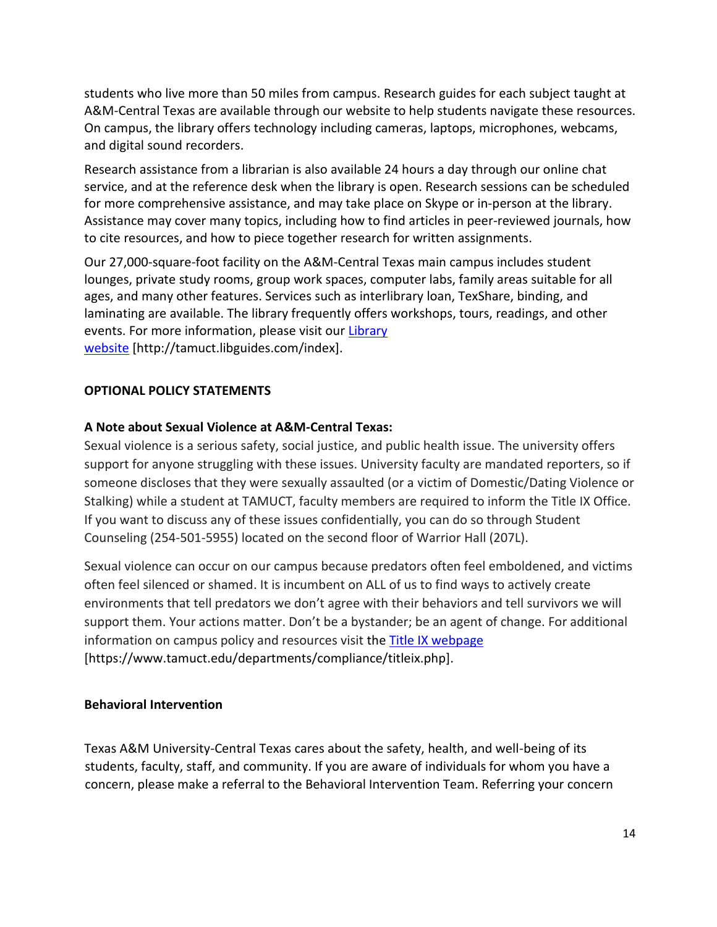students who live more than 50 miles from campus. Research guides for each subject taught at A&M-Central Texas are available through our website to help students navigate these resources. On campus, the library offers technology including cameras, laptops, microphones, webcams, and digital sound recorders.

Research assistance from a librarian is also available 24 hours a day through our online chat service, and at the reference desk when the library is open. Research sessions can be scheduled for more comprehensive assistance, and may take place on Skype or in-person at the library. Assistance may cover many topics, including how to find articles in peer-reviewed journals, how to cite resources, and how to piece together research for written assignments.

Our 27,000-square-foot facility on the A&M-Central Texas main campus includes student lounges, private study rooms, group work spaces, computer labs, family areas suitable for all ages, and many other features. Services such as interlibrary loan, TexShare, binding, and laminating are available. The library frequently offers workshops, tours, readings, and other events. For more information, please visit our [Library](https://tamuct.libguides.com/index) [website](https://tamuct.libguides.com/index) [http://tamuct.libguides.com/index].

# **OPTIONAL POLICY STATEMENTS**

## **A Note about Sexual Violence at A&M-Central Texas:**

Sexual violence is a serious safety, social justice, and public health issue. The university offers support for anyone struggling with these issues. University faculty are mandated reporters, so if someone discloses that they were sexually assaulted (or a victim of Domestic/Dating Violence or Stalking) while a student at TAMUCT, faculty members are required to inform the Title IX Office. If you want to discuss any of these issues confidentially, you can do so through Student Counseling (254-501-5955) located on the second floor of Warrior Hall (207L).

Sexual violence can occur on our campus because predators often feel emboldened, and victims often feel silenced or shamed. It is incumbent on ALL of us to find ways to actively create environments that tell predators we don't agree with their behaviors and tell survivors we will support them. Your actions matter. Don't be a bystander; be an agent of change. For additional information on campus policy and resources visit the [Title IX webpage](https://www.tamuct.edu/departments/compliance/titleix.php) [https://www.tamuct.edu/departments/compliance/titleix.php].

## **Behavioral Intervention**

Texas A&M University-Central Texas cares about the safety, health, and well-being of its students, faculty, staff, and community. If you are aware of individuals for whom you have a concern, please make a referral to the Behavioral Intervention Team. Referring your concern